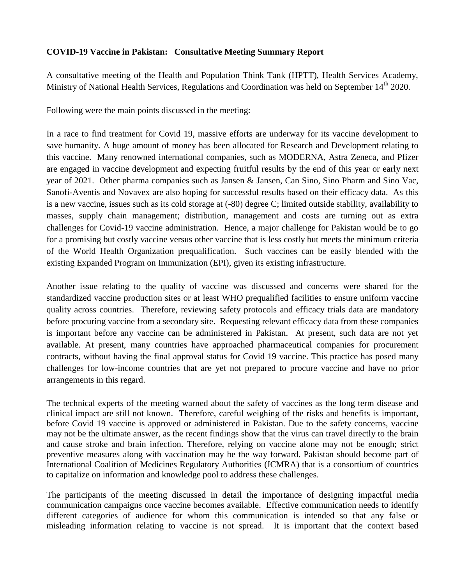## **COVID-19 Vaccine in Pakistan: Consultative Meeting Summary Report**

A consultative meeting of the Health and Population Think Tank (HPTT), Health Services Academy, Ministry of National Health Services, Regulations and Coordination was held on September 14<sup>th</sup> 2020.

Following were the main points discussed in the meeting:

In a race to find treatment for Covid 19, massive efforts are underway for its vaccine development to save humanity. A huge amount of money has been allocated for Research and Development relating to this vaccine. Many renowned international companies, such as MODERNA, Astra Zeneca, and Pfizer are engaged in vaccine development and expecting fruitful results by the end of this year or early next year of 2021. Other pharma companies such as Jansen & Jansen, Can Sino, Sino Pharm and Sino Vac, Sanofi-Aventis and Novavex are also hoping for successful results based on their efficacy data. As this is a new vaccine, issues such as its cold storage at (-80) degree C; limited outside stability, availability to masses, supply chain management; distribution, management and costs are turning out as extra challenges for Covid-19 vaccine administration. Hence, a major challenge for Pakistan would be to go for a promising but costly vaccine versus other vaccine that is less costly but meets the minimum criteria of the World Health Organization prequalification. Such vaccines can be easily blended with the existing Expanded Program on Immunization (EPI), given its existing infrastructure.

Another issue relating to the quality of vaccine was discussed and concerns were shared for the standardized vaccine production sites or at least WHO prequalified facilities to ensure uniform vaccine quality across countries. Therefore, reviewing safety protocols and efficacy trials data are mandatory before procuring vaccine from a secondary site. Requesting relevant efficacy data from these companies is important before any vaccine can be administered in Pakistan. At present, such data are not yet available. At present, many countries have approached pharmaceutical companies for procurement contracts, without having the final approval status for Covid 19 vaccine. This practice has posed many challenges for low-income countries that are yet not prepared to procure vaccine and have no prior arrangements in this regard.

The technical experts of the meeting warned about the safety of vaccines as the long term disease and clinical impact are still not known. Therefore, careful weighing of the risks and benefits is important, before Covid 19 vaccine is approved or administered in Pakistan. Due to the safety concerns, vaccine may not be the ultimate answer, as the recent findings show that the virus can travel directly to the brain and cause stroke and brain infection. Therefore, relying on vaccine alone may not be enough; strict preventive measures along with vaccination may be the way forward. Pakistan should become part of International Coalition of Medicines Regulatory Authorities (ICMRA) that is a consortium of countries to capitalize on information and knowledge pool to address these challenges.

The participants of the meeting discussed in detail the importance of designing impactful media communication campaigns once vaccine becomes available. Effective communication needs to identify different categories of audience for whom this communication is intended so that any false or misleading information relating to vaccine is not spread. It is important that the context based